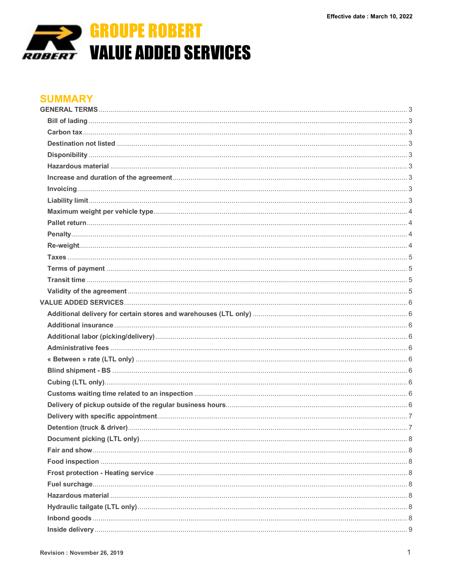

## **SUMMARY**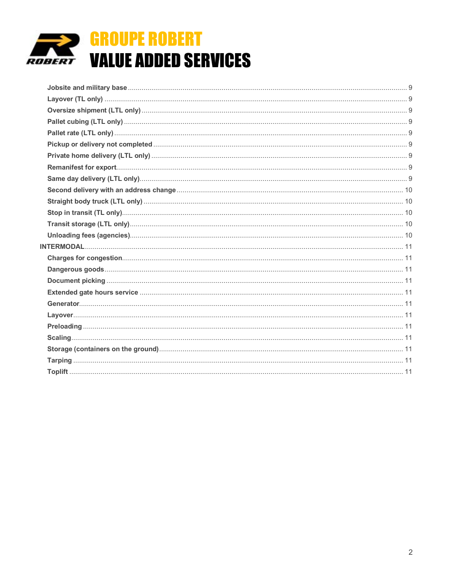

# **GROUPE ROBERT VALUE ADDED SERVICES**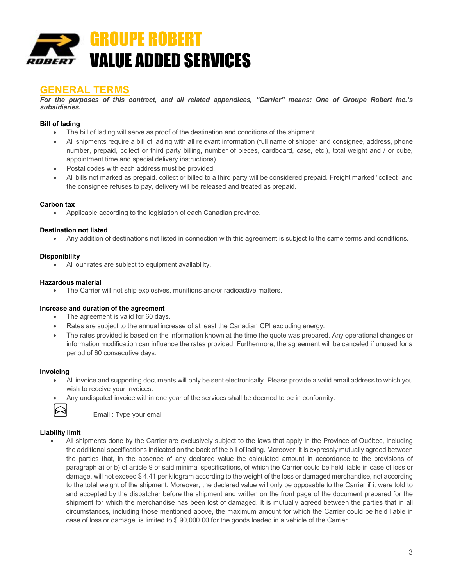

### **GENERAL TERMS**

*For the purposes of this contract, and all related appendices, "Carrier" means: One of Groupe Robert Inc.'s subsidiaries.*

#### **Bill of lading**

- The bill of lading will serve as proof of the destination and conditions of the shipment.
- All shipments require a bill of lading with all relevant information (full name of shipper and consignee, address, phone number, prepaid, collect or third party billing, number of pieces, cardboard, case, etc.), total weight and / or cube, appointment time and special delivery instructions).
- Postal codes with each address must be provided.
- All bills not marked as prepaid, collect or billed to a third party will be considered prepaid. Freight marked "collect" and the consignee refuses to pay, delivery will be released and treated as prepaid.

#### **Carbon tax**

• Applicable according to the legislation of each Canadian province.

#### **Destination not listed**

• Any addition of destinations not listed in connection with this agreement is subject to the same terms and conditions.

#### **Disponibility**

All our rates are subject to equipment availability.

#### **Hazardous material**

• The Carrier will not ship explosives, munitions and/or radioactive matters.

#### **Increase and duration of the agreement**

- The agreement is valid for 60 days.
- Rates are subject to the annual increase of at least the Canadian CPI excluding energy.
- The rates provided is based on the information known at the time the quote was prepared. Any operational changes or information modification can influence the rates provided. Furthermore, the agreement will be canceled if unused for a period of 60 consecutive days.

#### **Invoicing**

- All invoice and supporting documents will only be sent electronically. Please provide a valid email address to which you wish to receive your invoices.
	- Any undisputed invoice within one year of the services shall be deemed to be in conformity.



Email : Type your email

#### **Liability limit**

• All shipments done by the Carrier are exclusively subject to the laws that apply in the Province of Québec, including the additional specifications indicated on the back of the bill of lading. Moreover, it is expressly mutually agreed between the parties that, in the absence of any declared value the calculated amount in accordance to the provisions of paragraph a) or b) of article 9 of said minimal specifications, of which the Carrier could be held liable in case of loss or damage, will not exceed \$ 4.41 per kilogram according to the weight of the loss or damaged merchandise, not according to the total weight of the shipment. Moreover, the declared value will only be opposable to the Carrier if it were told to and accepted by the dispatcher before the shipment and written on the front page of the document prepared for the shipment for which the merchandise has been lost of damaged. It is mutually agreed between the parties that in all circumstances, including those mentioned above, the maximum amount for which the Carrier could be held liable in case of loss or damage, is limited to \$ 90,000.00 for the goods loaded in a vehicle of the Carrier.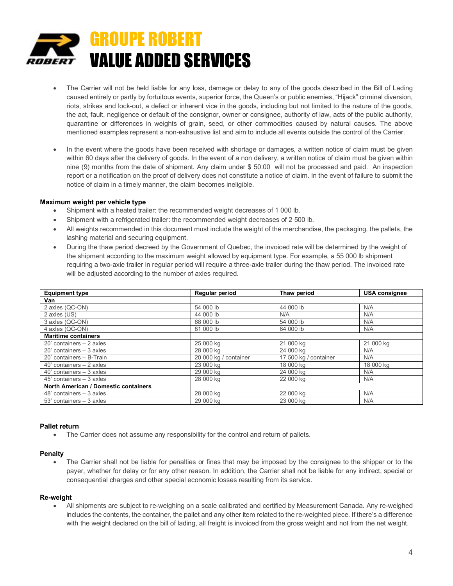

- The Carrier will not be held liable for any loss, damage or delay to any of the goods described in the Bill of Lading caused entirely or partly by fortuitous events, superior force, the Queen's or public enemies, "Hijack" criminal diversion, riots, strikes and lock-out, a defect or inherent vice in the goods, including but not limited to the nature of the goods, the act, fault, negligence or default of the consignor, owner or consignee, authority of law, acts of the public authority, quarantine or differences in weights of grain, seed, or other commodities caused by natural causes. The above mentioned examples represent a non-exhaustive list and aim to include all events outside the control of the Carrier.
- In the event where the goods have been received with shortage or damages, a written notice of claim must be given within 60 days after the delivery of goods. In the event of a non delivery, a written notice of claim must be given within nine (9) months from the date of shipment. Any claim under \$ 50.00 will not be processed and paid. An inspection report or a notification on the proof of delivery does not constitute a notice of claim. In the event of failure to submit the notice of claim in a timely manner, the claim becomes ineligible.

#### **Maximum weight per vehicle type**

- Shipment with a heated trailer: the recommended weight decreases of 1 000 lb.
- Shipment with a refrigerated trailer: the recommended weight decreases of 2 500 lb.
- All weights recommended in this document must include the weight of the merchandise, the packaging, the pallets, the lashing material and securing equipment.
- During the thaw period decreed by the Government of Quebec, the invoiced rate will be determined by the weight of the shipment according to the maximum weight allowed by equipment type. For example, a 55 000 lb shipment requiring a two-axle trailer in regular period will require a three-axle trailer during the thaw period. The invoiced rate will be adjusted according to the number of axles required.

| <b>Equipment type</b>                | Regular period        | Thaw period           | <b>USA consignee</b> |
|--------------------------------------|-----------------------|-----------------------|----------------------|
| Van                                  |                       |                       |                      |
| 2 axles (QC-ON)                      | 54 000 lb             | 44 000 lb             | N/A                  |
| 2 axles (US)                         | 44 000 lb             | N/A                   | N/A                  |
| 3 axles (QC-ON)                      | 68 000 lb             | 54 000 lb             | N/A                  |
| 4 axles (QC-ON)                      | 81 000 lb             | 64 000 lb             | N/A                  |
| <b>Maritime containers</b>           |                       |                       |                      |
| 20' containers - 2 axles             | 25 000 kg             | 21 000 kg             | 21 000 kg            |
| $20'$ containers $-3$ axles          | 28 000 kg             | 24 000 kg             | N/A                  |
| 20' containers - B-Train             | 20 000 kg / container | 17 500 kg / container | N/A                  |
| $40'$ containers $-2$ axles          | 23 000 kg             | 18 000 kg             | 18 000 kg            |
| $40'$ containers $-3$ axles          | 29 000 kg             | 24 000 kg             | N/A                  |
| $45'$ containers $-3$ axles          | 28 000 kg             | 22 000 kg             | N/A                  |
| North American / Domestic containers |                       |                       |                      |
| $48'$ containers $-3$ axles          | 28 000 kg             | 22 000 kg             | N/A                  |
| $53'$ containers $-3$ axles          | 29 000 kg             | 23 000 kg             | N/A                  |

#### **Pallet return**

• The Carrier does not assume any responsibility for the control and return of pallets.

#### **Penalty**

The Carrier shall not be liable for penalties or fines that may be imposed by the consignee to the shipper or to the payer, whether for delay or for any other reason. In addition, the Carrier shall not be liable for any indirect, special or consequential charges and other special economic losses resulting from its service.

#### **Re-weight**

• All shipments are subject to re-weighing on a scale calibrated and certified by Measurement Canada. Any re-weighed includes the contents, the container, the pallet and any other item related to the re-weighted piece. If there's a difference with the weight declared on the bill of lading, all freight is invoiced from the gross weight and not from the net weight.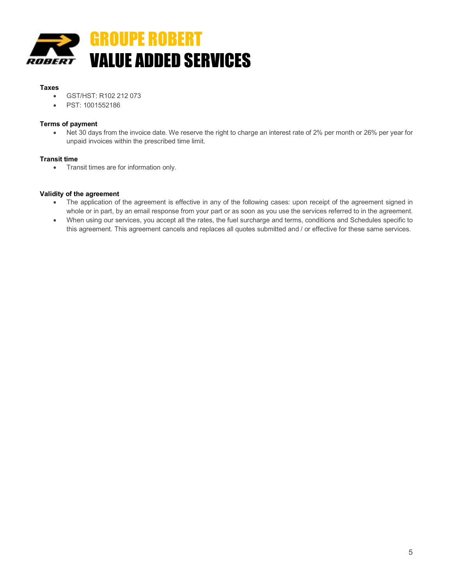

#### **Taxes**

- GST/HST: R102 212 073
- PST: 1001552186

#### **Terms of payment**

• Net 30 days from the invoice date. We reserve the right to charge an interest rate of 2% per month or 26% per year for unpaid invoices within the prescribed time limit.

#### **Transit time**

• Transit times are for information only.

#### **Validity of the agreement**

- The application of the agreement is effective in any of the following cases: upon receipt of the agreement signed in whole or in part, by an email response from your part or as soon as you use the services referred to in the agreement.
- When using our services, you accept all the rates, the fuel surcharge and terms, conditions and Schedules specific to this agreement. This agreement cancels and replaces all quotes submitted and / or effective for these same services.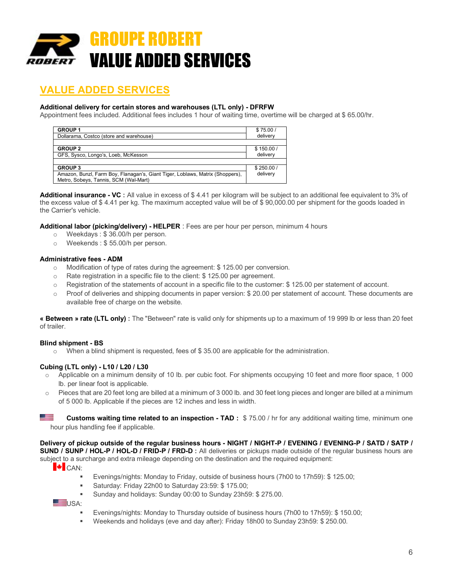

# **VALUE ADDED SERVICES**

#### **Additional delivery for certain stores and warehouses (LTL only) - DFRFW**

Appointment fees included. Additional fees includes 1 hour of waiting time, overtime will be charged at \$ 65.00/hr.

| <b>GROUP1</b>                                                                 | \$75.00/  |
|-------------------------------------------------------------------------------|-----------|
| Dollarama, Costco (store and warehouse)                                       | delivery  |
|                                                                               |           |
| <b>GROUP 2</b>                                                                | \$150.00/ |
| GFS, Sysco, Longo's, Loeb, McKesson                                           | delivery  |
|                                                                               |           |
| <b>GROUP 3</b>                                                                | \$250.00/ |
| Amazon, Bunzl, Farm Boy, Flanagan's, Giant Tiger, Loblaws, Matrix (Shoppers), | delivery  |
| Metro, Sobeys, Tannis, SCM (Wal-Mart)                                         |           |

**Additional insurance - VC :** All value in excess of \$ 4.41 per kilogram will be subject to an additional fee equivalent to 3% of the excess value of \$ 4.41 per kg. The maximum accepted value will be of \$ 90,000.00 per shipment for the goods loaded in the Carrier's vehicle.

**Additional labor (picking/delivery) - HELPER** : Fees are per hour per person, minimum 4 hours

- o Weekdays : \$ 36.00/h per person.
- o Weekends : \$ 55.00/h per person.

#### **Administrative fees - ADM**

- o Modification of type of rates during the agreement: \$ 125.00 per conversion.
- o Rate registration in a specific file to the client: \$ 125.00 per agreement.
- o Registration of the statements of account in a specific file to the customer: \$ 125.00 per statement of account.
- o Proof of deliveries and shipping documents in paper version: \$ 20.00 per statement of account. These documents are available free of charge on the website.

**« Between » rate (LTL only) :** The "Between" rate is valid only for shipments up to a maximum of 19 999 lb or less than 20 feet of trailer.

#### **Blind shipment - BS**

o When a blind shipment is requested, fees of \$ 35.00 are applicable for the administration.

#### **Cubing (LTL only) - L10 / L20 / L30**

- $\circ$  Applicable on a minimum density of 10 lb. per cubic foot. For shipments occupying 10 feet and more floor space, 1 000 lb. per linear foot is applicable.
- $\circ$  Pieces that are 20 feet long are billed at a minimum of 3 000 lb. and 30 feet long pieces and longer are billed at a minimum of 5 000 lb. Applicable if the pieces are 12 inches and less in width.

<u>se</u> **Customs waiting time related to an inspection - TAD :** \$ 75.00 / hr for any additional waiting time, minimum one hour plus handling fee if applicable.

#### **Delivery of pickup outside of the regular business hours - NIGHT / NIGHT-P / EVENING / EVENING-P / SATD / SATP / SUND / SUNP / HOL-P / HOL-D / FRID-P / FRD-D :** All deliveries or pickups made outside of the regular business hours are

subject to a surcharge and extra mileage depending on the destination and the required equipment:

 $\blacktriangleright$  CAN:

- § Evenings/nights: Monday to Friday, outside of business hours (7h00 to 17h59): \$ 125.00;
- § Saturday: Friday 22h00 to Saturday 23:59: \$ 175.00;
- § Sunday and holidays: Sunday 00:00 to Sunday 23h59: \$ 275.00.

USA:

- § Evenings/nights: Monday to Thursday outside of business hours (7h00 to 17h59): \$ 150.00;
- § Weekends and holidays (eve and day after): Friday 18h00 to Sunday 23h59: \$ 250.00.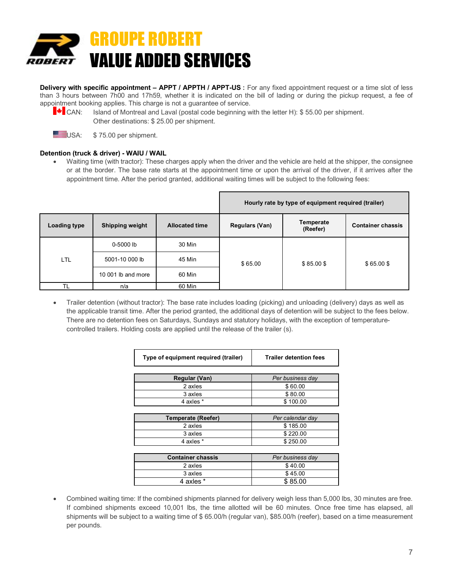

**Delivery with specific appointment – APPT / APPTH / APPT-US :** For any fixed appointment request or a time slot of less than 3 hours between 7h00 and 17h59, whether it is indicated on the bill of lading or during the pickup request, a fee of appointment booking applies. This charge is not a guarantee of service.



CAN: Island of Montreal and Laval (postal code beginning with the letter H): \$ 55.00 per shipment. Other destinations: \$ 25.00 per shipment.



 $USA:$  \$ 75.00 per shipment.

#### **Detention (truck & driver) - WAIU / WAIL**

• Waiting time (with tractor): These charges apply when the driver and the vehicle are held at the shipper, the consignee or at the border. The base rate starts at the appointment time or upon the arrival of the driver, if it arrives after the appointment time. After the period granted, additional waiting times will be subject to the following fees:

|              |                        |                       | Hourly rate by type of equipment required (trailer) |                       |                          |
|--------------|------------------------|-----------------------|-----------------------------------------------------|-----------------------|--------------------------|
| Loading type | <b>Shipping weight</b> | <b>Allocated time</b> | Regulars (Van)                                      | Temperate<br>(Reefer) | <b>Container chassis</b> |
|              | $0 - 5000$ lb          | 30 Min                | \$65.00                                             |                       |                          |
| <b>LTL</b>   | 5001-10 000 lb         | 45 Min                |                                                     | $$85.00$ \$           | $$65.00$ \$              |
|              | 10 001 lb and more     | 60 Min                |                                                     |                       |                          |
| <b>TL</b>    | n/a                    | 60 Min                |                                                     |                       |                          |

• Trailer detention (without tractor): The base rate includes loading (picking) and unloading (delivery) days as well as the applicable transit time. After the period granted, the additional days of detention will be subject to the fees below. There are no detention fees on Saturdays, Sundays and statutory holidays, with the exception of temperaturecontrolled trailers. Holding costs are applied until the release of the trailer (s).

| Type of equipment required (trailer) | <b>Trailer detention fees</b> |
|--------------------------------------|-------------------------------|
|                                      |                               |
| Regular (Van)                        | Per business day              |
| 2 axles                              | \$60.00                       |
| 3 axles                              | \$80.00                       |
| 4 axles *                            | \$100.00                      |
|                                      |                               |
| <b>Temperate (Reefer)</b>            | Per calendar day              |
| 2 axles                              | \$185.00                      |
| 3 axles                              | \$220.00                      |
| 4 axles *                            | \$250.00                      |
|                                      |                               |
| <b>Container chassis</b>             | Per business day              |
| 2 axles                              | \$40.00                       |
| 3 axles                              | \$45.00                       |
| 4 axles *                            | \$85.00                       |

• Combined waiting time: If the combined shipments planned for delivery weigh less than 5,000 lbs, 30 minutes are free. If combined shipments exceed 10,001 lbs, the time allotted will be 60 minutes. Once free time has elapsed, all shipments will be subject to a waiting time of \$ 65.00/h (regular van), \$85.00/h (reefer), based on a time measurement per pounds.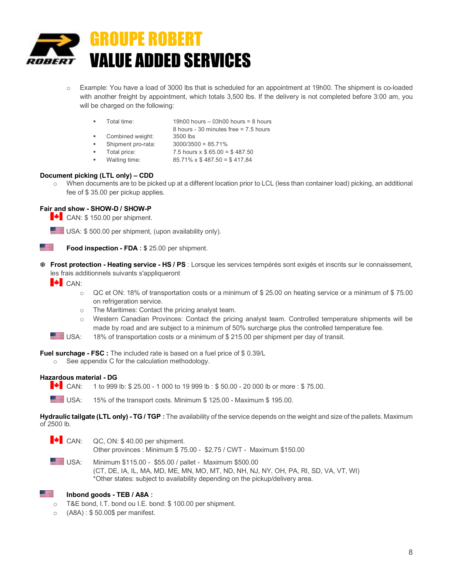

- o Example: You have a load of 3000 lbs that is scheduled for an appointment at 19h00. The shipment is co-loaded with another freight by appointment, which totals 3,500 lbs. If the delivery is not completed before 3:00 am, you will be charged on the following:
	- § Total time: 19h00 hours 03h00 hours = 8 hours
		- 8 hours 30 minutes free = 7.5 hours
	- § Combined weight: 3500 lbs
	- § Shipment pro-rata: 3000/3500 = 85.71%
	- **•** Total price:  $7.5$  hours  $x $ 65.00 = $ 487.50$
	- § Waiting time: 85.71% x \$ 487.50 = \$ 417,84

#### **Document picking (LTL only) – CDD**

When documents are to be picked up at a different location prior to LCL (less than container load) picking, an additional fee of \$ 35.00 per pickup applies.

#### **Fair and show - SHOW-D / SHOW-P**

- $\blacktriangleright$  CAN: \$150.00 per shipment.
- USA: \$500.00 per shipment, (upon availability only).

**Food inspection - FDA : \$** 25.00 per shipment.

T **Frost protection - Heating service - HS / PS** : Lorsque les services tempérés sont exigés et inscrits sur le connaissement, les frais additionnels suivants s'appliqueront

 $\bullet$  CAN:

 $\mathbb{Z}^{\mathbb{Z}}$ 

- o QC et ON: 18% of transportation costs or a minimum of \$ 25.00 on heating service or a minimum of \$ 75.00 on refrigeration service.
- o The Maritimes: Contact the pricing analyst team.
- o Western Canadian Provinces: Contact the pricing analyst team. Controlled temperature shipments will be made by road and are subject to a minimum of 50% surcharge plus the controlled temperature fee.
- USA: 18% of transportation costs or a minimum of \$ 215.00 per shipment per day of transit.

**Fuel surchage - FSC :** The included rate is based on a fuel price of \$ 0.39/L

o See appendix C for the calculation methodology.

#### **Hazardous material - DG**

**F** CAN: 1 to 999 lb: \$ 25.00 - 1 000 to 19 999 lb : \$ 50.00 - 20 000 lb or more : \$ 75.00.

USA: 15% of the transport costs. Minimum \$ 125.00 - Maximum \$ 195.00.

**Hydraulic tailgate (LTL only) - TG / TGP :** The availability of the service depends on the weight and size of the pallets. Maximum of 2500 lb.

- $\blacktriangleright$  CAN: QC, ON: \$40.00 per shipment. Other provinces : Minimum \$ 75.00 - \$2.75 / CWT - Maximum \$150.00
- USA: Minimum \$115.00 \$55.00 / pallet Maximum \$500.00 (CT, DE, IA, IL, MA, MD, ME, MN, MO, MT, ND, NH, NJ, NY, OH, PA, RI, SD, VA, VT, WI) \*Other states: subject to availability depending on the pickup/delivery area.

#### **Inbond goods - TEB / A8A :**

- T&E bond, I.T. bond ou I.E. bond: \$ 100.00 per shipment.
- o (A8A) : \$ 50.00\$ per manifest.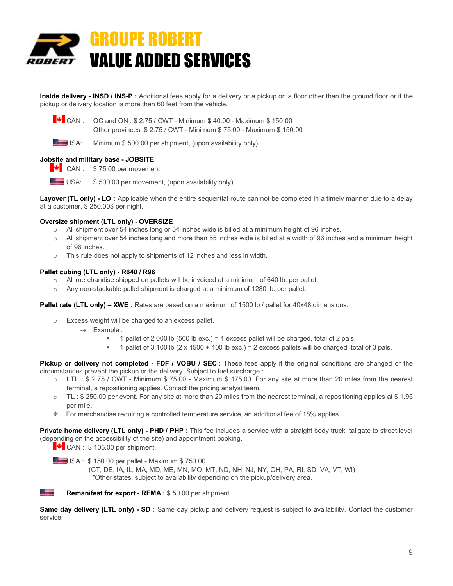

**Inside delivery - INSD / INS-P :** Additional fees apply for a delivery or a pickup on a floor other than the ground floor or if the pickup or delivery location is more than 60 feet from the vehicle.

 $\blacktriangleright$  CAN : QC and ON : \$ 2.75 / CWT - Minimum \$ 40.00 - Maximum \$ 150.00

Other provinces: \$ 2.75 / CWT - Minimum \$ 75.00 - Maximum \$ 150.00

USA: Minimum \$500.00 per shipment, (upon availability only).

#### **Jobsite and military base - JOBSITE**

 $\bullet$  CAN : \$75.00 per movement.

 $USA:$  \$500.00 per movement, (upon availability only).

**Layover (TL only) - LO :** Applicable when the entire sequential route can not be completed in a timely manner due to a delay at a customer. \$ 250.00\$ per night.

#### **Oversize shipment (LTL only) - OVERSIZE**

- o All shipment over 54 inches long or 54 inches wide is billed at a minimum height of 96 inches.
- $\circ$  All shipment over 54 inches long and more than 55 inches wide is billed at a width of 96 inches and a minimum height of 96 inches.
- This rule does not apply to shipments of 12 inches and less in width.

#### **Pallet cubing (LTL only) - R640 / R96**

- o All merchandise shipped on pallets will be invoiced at a minimum of 640 lb. per pallet.
- o Any non-stackable pallet shipment is charged at a minimum of 1280 lb. per pallet.

**Pallet rate (LTL only) – XWE** *:* Rates are based on a maximum of 1500 lb / pallet for 40x48 dimensions.

- o Excess weight will be charged to an excess pallet.
	- $\rightarrow$  Example :
		- § 1 pallet of 2,000 lb (500 lb exc.) = 1 excess pallet will be charged, total of 2 pals.
		- § 1 pallet of 3,100 lb (2 x 1500 + 100 lb exc.) = 2 excess pallets will be charged, total of 3 pals.

**Pickup or delivery not completed - FDF / VOBU / SEC :** These fees apply if the original conditions are changed or the circumstances prevent the pickup or the delivery. Subject to fuel surcharge :

- o **LTL** : \$ 2.75 / CWT Minimum \$ 75.00 Maximum \$ 175.00. For any site at more than 20 miles from the nearest terminal, a repositioning applies. Contact the pricing analyst team.
- o **TL** : \$ 250.00 per event. For any site at more than 20 miles from the nearest terminal, a repositioning applies at \$ 1.95 per mile.
- T For merchandise requiring a controlled temperature service, an additional fee of 18% applies.

**Private home delivery (LTL only) - PHD / PHP :** This fee includes a service with a straight body truck, tailgate to street level (depending on the accessibility of the site) and appointment booking.

 $\blacktriangleright$  CAN : \$105.00 per shipment.

<u>e po</u>

USA : \$150.00 per pallet - Maximum \$750.00

 (CT, DE, IA, IL, MA, MD, ME, MN, MO, MT, ND, NH, NJ, NY, OH, PA, RI, SD, VA, VT, WI) \*Other states: subject to availability depending on the pickup/delivery area.

**Remanifest for export - REMA : \$** 50.00 per shipment.

**Same day delivery (LTL only) - SD :** Same day pickup and delivery request is subject to availability. Contact the customer service.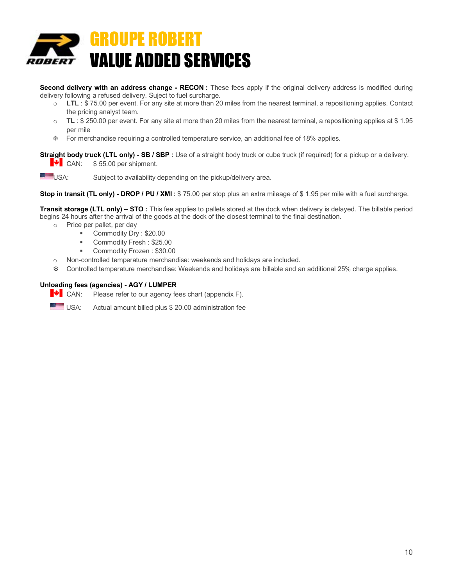

**Second delivery with an address change - RECON :** These fees apply if the original delivery address is modified during delivery following a refused delivery. Suject to fuel surcharge.

- o **LTL** : \$ 75.00 per event. For any site at more than 20 miles from the nearest terminal, a repositioning applies. Contact the pricing analyst team.
- o **TL** : \$ 250.00 per event. For any site at more than 20 miles from the nearest terminal, a repositioning applies at \$ 1.95 per mile
- T For merchandise requiring a controlled temperature service, an additional fee of 18% applies.

**Straight body truck (LTL only) - SB / SBP :** Use of a straight body truck or cube truck (if required) for a pickup or a delivery.

 $\bullet$  CAN: \$55.00 per shipment.

USA: Subject to availability depending on the pickup/delivery area.

**Stop in transit (TL only) - DROP / PU / XMI :** \$ 75.00 per stop plus an extra mileage of \$ 1.95 per mile with a fuel surcharge.

**Transit storage (LTL only) – STO :** This fee applies to pallets stored at the dock when delivery is delayed. The billable period begins 24 hours after the arrival of the goods at the dock of the closest terminal to the final destination.

o Price per pallet, per day

- § Commodity Dry : \$20.00
- § Commodity Fresh : \$25.00
- Commodity Frozen: \$30.00
- o Non-controlled temperature merchandise: weekends and holidays are included.
- T Controlled temperature merchandise: Weekends and holidays are billable and an additional 25% charge applies.

#### **Unloading fees (agencies) - AGY / LUMPER**

 $\blacktriangleright$  CAN: Please refer to our agency fees chart (appendix F).